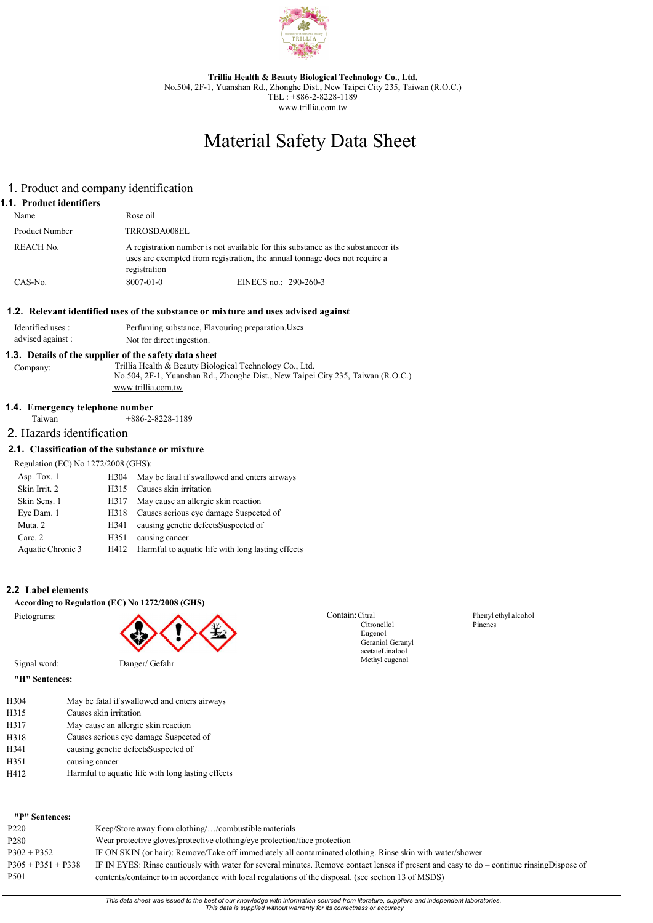

Trillia Health & Beauty Biological Technology Co., Ltd. No.504, 2F-1, Yuanshan Rd., Zhonghe Dist., New Taipei City 235, Taiwan (R.O.C.) TEL : +886-2-8228-1189 www.trillia.com.tw

# Material Safety Data Sheet

# 1. Product and company identification

## 1.1. Product identifiers

| Name                  | Rose oil        |                                                                                                                                                                 |
|-----------------------|-----------------|-----------------------------------------------------------------------------------------------------------------------------------------------------------------|
| <b>Product Number</b> | TRROSDA008EL    |                                                                                                                                                                 |
| REACH No.             | registration    | A registration number is not available for this substance as the substance or its<br>uses are exempted from registration, the annual tonnage does not require a |
| $CAS-N0$ .            | $8007 - 01 - 0$ | EINECS no.: 290-260-3                                                                                                                                           |

## 1.2. Relevant identified uses of the substance or mixture and uses advised against

| Identified uses : | Perfuming substance, Flavouring preparation. Uses |
|-------------------|---------------------------------------------------|
| advised against:  | Not for direct ingestion.                         |

## 1.3. Details of the supplier of the safety data sheet

Company: Trillia Health & Beauty Biological Technology Co., Ltd. No.504, 2F-1, Yuanshan Rd., Zhonghe Dist., New Taipei City 235, Taiwan (R.O.C.) www.trillia.com.tw

# **1.4. Emergency telephone number**<br>Taiwan +886-2-

 $+886-2-8228-1189$ 

## 2. Hazards identification

## 2.1. Classification of the substance or mixture

Regulation (EC) No 1272/2008 (GHS):

| Asp. Tox. 1       | H304 | May be fatal if swallowed and enters airways      |
|-------------------|------|---------------------------------------------------|
| Skin Irrit. 2     | H315 | Causes skin irritation                            |
| Skin Sens. 1      | H317 | May cause an allergic skin reaction               |
| Eye Dam. 1        | H318 | Causes serious eye damage Suspected of            |
| Muta. 2           | H341 | causing genetic defectsSuspected of               |
| Carc. 2           | H351 | causing cancer                                    |
| Aquatic Chronic 3 | H412 | Harmful to aquatic life with long lasting effects |

## 2.2 Label elements

#### According to Regulation (EC) No 1272/2008 (GHS)

Pictograms:



Signal word: Danger/ Gefahr "H" Sentences:

|      | п эспепсез.                                  |
|------|----------------------------------------------|
| H304 | May be fatal if swallowed and enters airways |
| H315 | Causes skin irritation                       |
| H317 | May cause an allergic skin reaction          |
| H318 | Causes serious eye damage Suspected of       |

| 11. J 1. U | causes serious cyc damage suspected |
|------------|-------------------------------------|
| H341       | causing genetic defectsSuspected of |

H351 causing cancer

H412 Harmful to aquatic life with long lasting effects Contain: Citral Citronellol Eugenol Geraniol Geranyl acetate Linalool Methyl eugenol

Phenyl ethyl alcohol Pinenes

| "P" Sentences:       |                                                                                                                                            |
|----------------------|--------------------------------------------------------------------------------------------------------------------------------------------|
| P <sub>220</sub>     | Keep/Store away from clothing//combustible materials                                                                                       |
| P <sub>280</sub>     | Wear protective gloves/protective clothing/eye protection/face protection                                                                  |
| $P302 + P352$        | IF ON SKIN (or hair): Remove/Take off immediately all contaminated clothing. Rinse skin with water/shower                                  |
| $P305 + P351 + P338$ | IF IN EYES: Rinse cautiously with water for several minutes. Remove contact lenses if present and easy to do – continue rinsing Dispose of |
| P <sub>501</sub>     | contents/container to in accordance with local regulations of the disposal. (see section 13 of MSDS)                                       |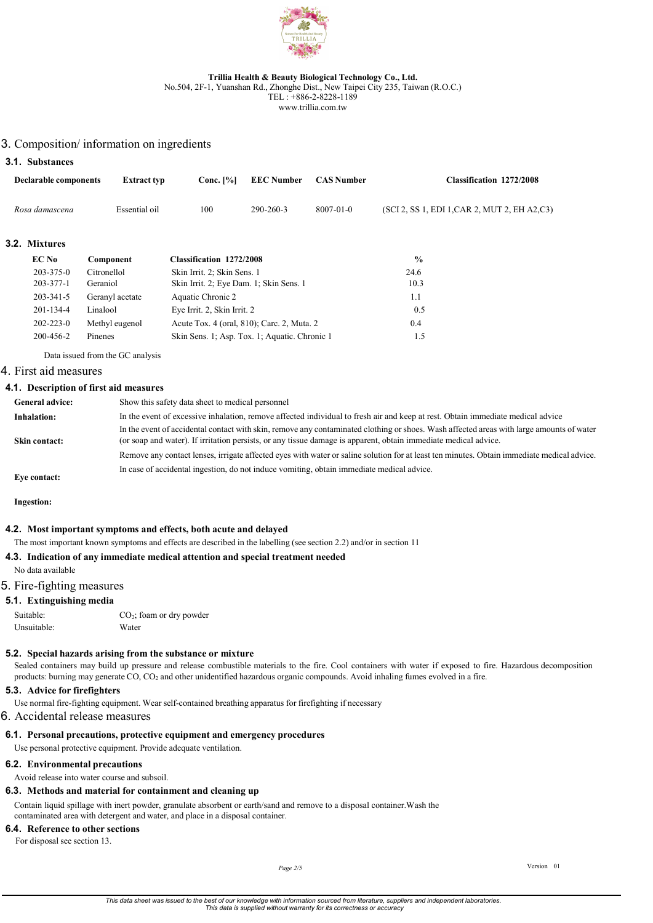

No.504, 2F-1, Yuanshan Rd., Zhonghe Dist., New Taipei City 235, Taiwan (R.O.C.)

TEL : +886-2-8228-1189 www.trillia.com.tw

# 3. Composition/ information on ingredients

## 3.1. Substances

| Declarable components | <b>Extract typ</b> | Conc. [%] | EEC Number CAS Number |                 | <b>Classification 1272/2008</b>               |
|-----------------------|--------------------|-----------|-----------------------|-----------------|-----------------------------------------------|
| Rosa damascena        | Essential oil      | 100       | $290 - 260 - 3$       | $8007 - 01 - 0$ | (SCI 2, SS 1, EDI 1, CAR 2, MUT 2, EH A2, C3) |

## 3.2. Mixtures

| EC No           | Component       | <b>Classification 1272/2008</b>               | $\frac{9}{6}$ |
|-----------------|-----------------|-----------------------------------------------|---------------|
| $203 - 375 - 0$ | Citronellol     | Skin Irrit. 2; Skin Sens. 1                   | 24.6          |
| $203 - 377 - 1$ | Geraniol        | Skin Irrit. 2; Eye Dam. 1; Skin Sens. 1       | 10.3          |
| 203-341-5       | Geranyl acetate | Aquatic Chronic 2                             | 1.1           |
| $201 - 134 - 4$ | Linalool        | Eye Irrit. 2, Skin Irrit. 2                   | 0.5           |
| $202 - 223 - 0$ | Methyl eugenol  | Acute Tox. 4 (oral, 810); Carc. 2, Muta. 2    | 0.4           |
| 200-456-2       | Pinenes         | Skin Sens. 1; Asp. Tox. 1; Aquatic. Chronic 1 | 1.5           |

Data issued from the GC analysis

## 4. First aid measures

#### 4.1. Description of first aid measures

| <b>General advice:</b> | Show this safety data sheet to medical personnel                                                                                                                                                                                                            |
|------------------------|-------------------------------------------------------------------------------------------------------------------------------------------------------------------------------------------------------------------------------------------------------------|
| Inhalation:            | In the event of excessive inhalation, remove affected individual to fresh air and keep at rest. Obtain immediate medical advice                                                                                                                             |
| Skin contact:          | In the event of accidental contact with skin, remove any contaminated clothing or shoes. Wash affected areas with large amounts of water<br>(or soap and water). If irritation persists, or any tissue damage is apparent, obtain immediate medical advice. |
|                        | Remove any contact lenses, irrigate affected eyes with water or saline solution for at least ten minutes. Obtain immediate medical advice.                                                                                                                  |
| Eve contact:           | In case of accidental ingestion, do not induce vomiting, obtain immediate medical advice.                                                                                                                                                                   |

Ingestion:

#### 4.2. Most important symptoms and effects, both acute and delayed

The most important known symptoms and effects are described in the labelling (see section 2.2) and/or in section 11

## 4.3. Indication of any immediate medical attention and special treatment needed

No data available

## 5. Fire-fighting measures

#### 5.1. Extinguishing media

| Suitable:   | $CO_2$ ; foam or dry powder |
|-------------|-----------------------------|
| Unsuitable: | Water                       |

## 5.2. Special hazards arising from the substance or mixture

Sealed containers may build up pressure and release combustible materials to the fire. Cool containers with water if exposed to fire. Hazardous decomposition products: burning may generate CO, CO2 and other unidentified hazardous organic compounds. Avoid inhaling fumes evolved in a fire.

### 5.3. Advice for firefighters

Use normal fire-fighting equipment. Wear self-contained breathing apparatus for firefighting if necessary

6. Accidental release measures

## 6.1. Personal precautions, protective equipment and emergency procedures

Use personal protective equipment. Provide adequate ventilation.

# 6.2. Environmental precautions

Avoid release into water course and subsoil.

# 6.3. Methods and material for containment and cleaning up

Contain liquid spillage with inert powder, granulate absorbent or earth/sand and remove to a disposal container. Wash the contaminated area with detergent and water, and place in a disposal container.

# 6.4. Reference to other sections

For disposal see section 13.

Page 2/5 Version 01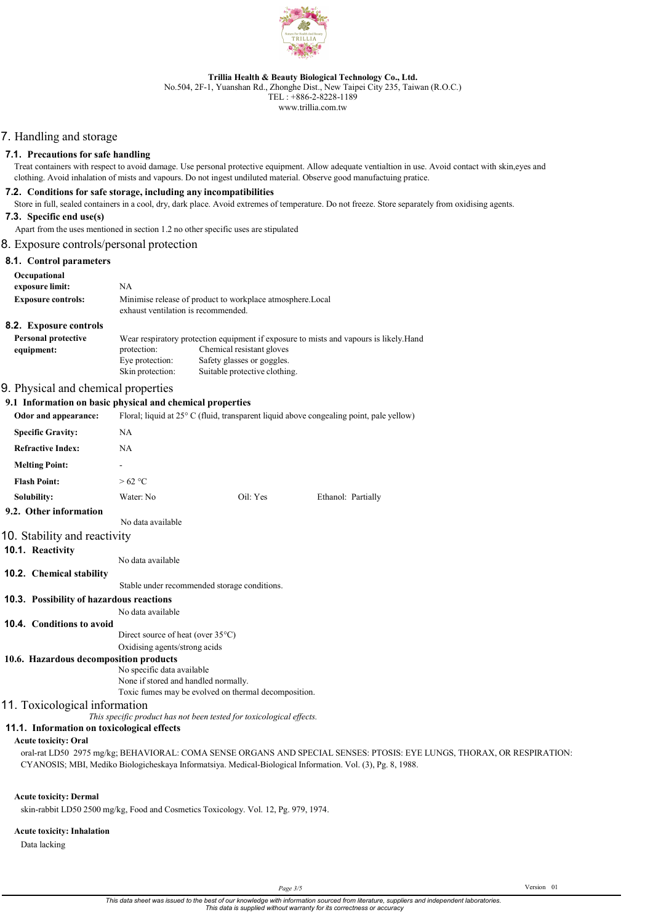

No.504, 2F-1, Yuanshan Rd., Zhonghe Dist., New Taipei City 235, Taiwan (R.O.C.)

TEL : +886-2-8228-1189 www.trillia.com.tw

# 7. Handling and storage

#### 7.1. Precautions for safe handling

Treat containers with respect to avoid damage. Use personal protective equipment. Allow adequate ventialtion in use. Avoid contact with skin, eyes and clothing. Avoid inhalation of mists and vapours. Do not ingest undiluted material. Observe good manufactuing pratice.

### 7.2. Conditions for safe storage, including any incompatibilities

Store in full, sealed containers in a cool, dry, dark place. Avoid extremes of temperature. Do not freeze. Store separately from oxidising agents.

#### 7.3. Specific end use(s)

Apart from the uses mentioned in section 1.2 no other specific uses are stipulated

### 8. Exposure controls/personal protection

## 8.1. Control parameters

| Occupational<br>exposure limit: | NA                                  |                                                                                        |
|---------------------------------|-------------------------------------|----------------------------------------------------------------------------------------|
| <b>Exposure controls:</b>       | exhaust ventilation is recommended. | Minimise release of product to workplace atmosphere. Local                             |
| <b>8.2.</b> Exposure controls   |                                     |                                                                                        |
| <b>Personal protective</b>      |                                     | Wear respiratory protection equipment if exposure to mists and vapours is likely. Hand |
| equipment:                      | protection:                         | Chemical resistant gloves                                                              |
|                                 | Eye protection:                     | Safety glasses or goggles.                                                             |
|                                 | Skin protection:                    | Suitable protective clothing.                                                          |

### 9. Physical and chemical properties

# 9.1 Information on basic physical and chemical properties

| 7.1   нног шайон он разке рнузкаг ана сиснисаг ргорсгисэ |                                                                                                  |          |                    |
|----------------------------------------------------------|--------------------------------------------------------------------------------------------------|----------|--------------------|
| Odor and appearance:                                     | Floral; liquid at $25^{\circ}$ C (fluid, transparent liquid above congealing point, pale yellow) |          |                    |
| <b>Specific Gravity:</b>                                 | <b>NA</b>                                                                                        |          |                    |
| <b>Refractive Index:</b>                                 | <b>NA</b>                                                                                        |          |                    |
| <b>Melting Point:</b>                                    | ٠                                                                                                |          |                    |
| <b>Flash Point:</b>                                      | >62 °C                                                                                           |          |                    |
| Solubility:                                              | Water: No                                                                                        | Oil: Yes | Ethanol: Partially |
| 9.2. Other information                                   |                                                                                                  |          |                    |
|                                                          | No data available                                                                                |          |                    |
| 10. Stability and reactivity                             |                                                                                                  |          |                    |

### 10.1. Reactivity

No data available

#### 10.2. Chemical stability

Stable under recommended storage conditions.

#### 10.3. Possibility of hazardous reactions

No data available

#### 10.4. Conditions to avoid

Direct source of heat (over 35°C) Oxidising agents/strong acids

### 10.6. Hazardous decomposition products

No specific data available None if stored and handled normally. Toxic fumes may be evolved on thermal decomposition.

## 11. Toxicological information

This specific product has not been tested for toxicological effects.

#### 11.1. Information on toxicological effects

Acute toxicity: Oral

oral-rat LD50 2975 mg/kg; BEHAVIORAL: COMA SENSE ORGANS AND SPECIAL SENSES: PTOSIS: EYE LUNGS, THORAX, OR RESPIRATION: CYANOSIS; MBI, Mediko Biologicheskaya Informatsiya. Medical-Biological Information. Vol. (3), Pg. 8, 1988.

## Acute toxicity: Dermal

skin-rabbit LD50 2500 mg/kg, Food and Cosmetics Toxicology. Vol. 12, Pg. 979, 1974.

#### Acute toxicity: Inhalation

Data lacking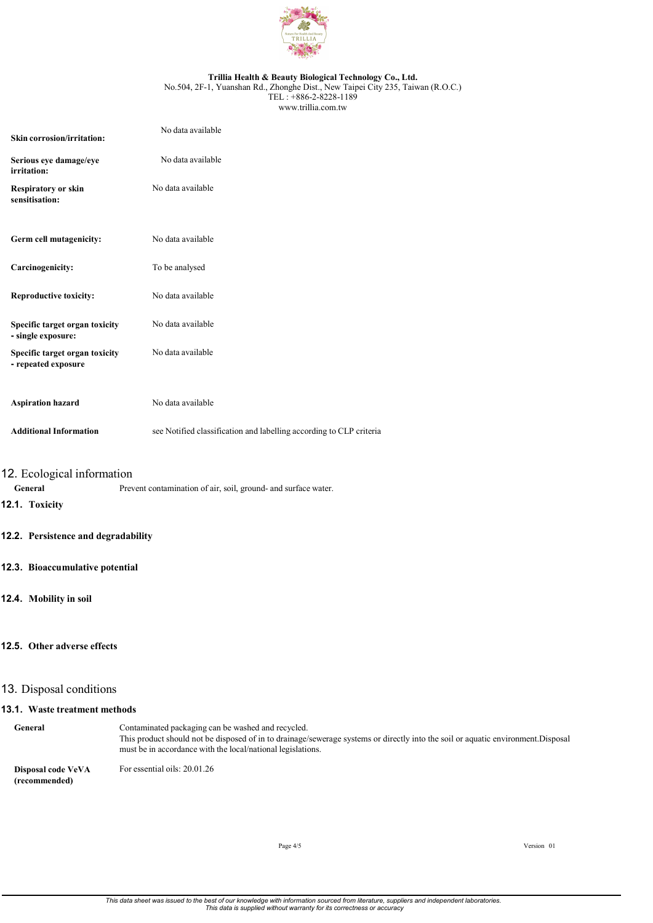

No.504, 2F-1, Yuanshan Rd., Zhonghe Dist., New Taipei City 235, Taiwan (R.O.C.) TEL : +886-2-8228-1189 www.trillia.com.tw

| Skin corrosion/irritation:                            | No data available                                                   |
|-------------------------------------------------------|---------------------------------------------------------------------|
| Serious eye damage/eye<br>irritation:                 | No data available                                                   |
| Respiratory or skin<br>sensitisation:                 | No data available                                                   |
| Germ cell mutagenicity:                               | No data available                                                   |
| Carcinogenicity:                                      | To be analysed                                                      |
| <b>Reproductive toxicity:</b>                         | No data available                                                   |
| Specific target organ toxicity<br>- single exposure:  | No data available                                                   |
| Specific target organ toxicity<br>- repeated exposure | No data available                                                   |
| <b>Aspiration hazard</b>                              | No data available                                                   |
| <b>Additional Information</b>                         | see Notified classification and labelling according to CLP criteria |

# 12. Ecological information

General Prevent contamination of air, soil, ground- and surface water.

## 12.1. Toxicity

## 12.2. Persistence and degradability

### 12.3. Bioaccumulative potential

## 12.4. Mobility in soil

## 12.5. Other adverse effects

## 13. Disposal conditions

#### 13.1. Waste treatment methods

General Contaminated packaging can be washed and recycled. This product should not be disposed of in to drainage/sewerage systems or directly into the soil or aquatic environment. Disposal must be in accordance with the local/national legislations.

Disposal code VeVA (recommended) For essential oils: 20.01.26

Page  $4/5$  Version 01